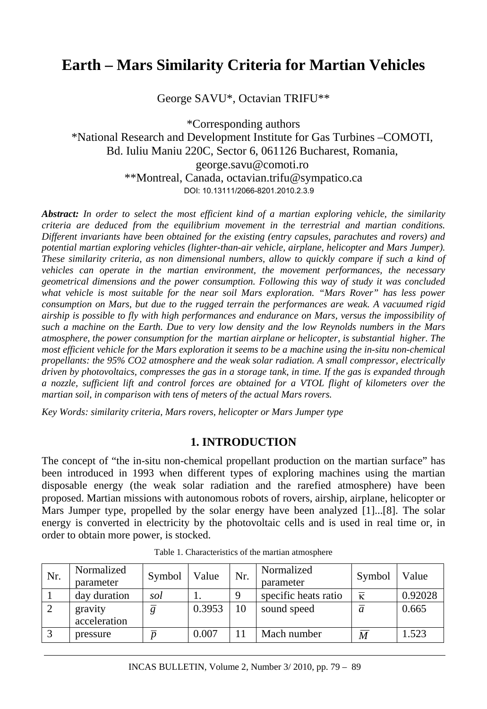# **Earth – Mars Similarity Criteria for Martian Vehicles**

George SAVU\*, Octavian TRIFU\*\*

\*Corresponding authors \*National Research and Development Institute for Gas Turbines –COMOTI, Bd. Iuliu Maniu 220C, Sector 6, 061126 Bucharest, Romania, george.savu@comoti.ro \*\*Montreal, Canada, octavian.trifu@sympatico.ca DOI: 10.13111/2066-8201.2010.2.3.9

*Abstract: In order to select the most efficient kind of a martian exploring vehicle, the similarity criteria are deduced from the equilibrium movement in the terrestrial and martian conditions. Different invariants have been obtained for the existing (entry capsules, parachutes and rovers) and potential martian exploring vehicles (lighter-than-air vehicle, airplane, helicopter and Mars Jumper). These similarity criteria, as non dimensional numbers, allow to quickly compare if such a kind of vehicles can operate in the martian environment, the movement performances, the necessary geometrical dimensions and the power consumption. Following this way of study it was concluded what vehicle is most suitable for the near soil Mars exploration. "Mars Rover" has less power consumption on Mars, but due to the rugged terrain the performances are weak. A vacuumed rigid airship is possible to fly with high performances and endurance on Mars, versus the impossibility of such a machine on the Earth. Due to very low density and the low Reynolds numbers in the Mars atmosphere, the power consumption for the martian airplane or helicopter, is substantial higher. The most efficient vehicle for the Mars exploration it seems to be a machine using the in-situ non-chemical propellants: the 95% CO2 atmosphere and the weak solar radiation. A small compressor, electrically driven by photovoltaics, compresses the gas in a storage tank, in time. If the gas is expanded through a nozzle, sufficient lift and control forces are obtained for a VTOL flight of kilometers over the martian soil, in comparison with tens of meters of the actual Mars rovers.* 

*Key Words: similarity criteria, Mars rovers, helicopter or Mars Jumper type* 

### **1. INTRODUCTION**

The concept of "the in-situ non-chemical propellant production on the martian surface" has been introduced in 1993 when different types of exploring machines using the martian disposable energy (the weak solar radiation and the rarefied atmosphere) have been proposed. Martian missions with autonomous robots of rovers, airship, airplane, helicopter or Mars Jumper type, propelled by the solar energy have been analyzed [1]...[8]. The solar energy is converted in electricity by the photovoltaic cells and is used in real time or, in order to obtain more power, is stocked.

| Nr. | Normalized<br>parameter | Symbol | Value  | Nr. | Normalized<br>parameter | Symbol           | Value   |
|-----|-------------------------|--------|--------|-----|-------------------------|------------------|---------|
|     | day duration            | sol    |        |     | specific heats ratio    | К                | 0.92028 |
|     | gravity<br>acceleration | g      | 0.3953 | 10  | sound speed             | a                | 0.665   |
|     | pressure                | n      | 0.007  |     | Mach number             | $\boldsymbol{M}$ | 1.523   |

Table 1. Characteristics of the martian atmosphere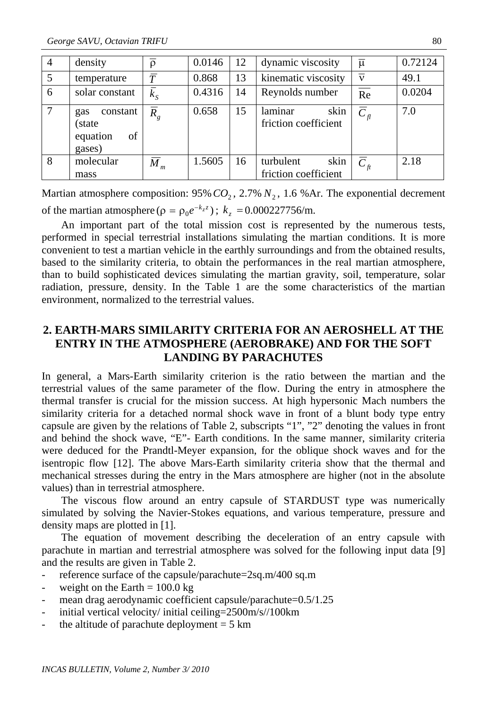| $\overline{4}$ | density                                                | $\overline{\rho}$  | 0.0146 | 12 | dynamic viscosity                       | $\overline{\mu}$           | 0.72124 |
|----------------|--------------------------------------------------------|--------------------|--------|----|-----------------------------------------|----------------------------|---------|
| 5              | temperature                                            | $\overline{T}$     | 0.868  | 13 | kinematic viscosity                     | $\overline{\nu}$           | 49.1    |
| 6              | solar constant                                         | $\overline{k}_{S}$ | 0.4316 | 14 | Reynolds number                         | $\overline{Re}$            | 0.0204  |
| $\tau$         | constant<br>gas<br>(state)<br>equation<br>of<br>gases) | $\overline{R}_g$   | 0.658  | 15 | laminar<br>skin<br>friction coefficient | $\overline{C}_n$           | 7.0     |
| 8              | molecular                                              | $\overline{M}_m$   | 1.5605 | 16 | turbulent<br>skin                       | $\overline{C}_\textit{ft}$ | 2.18    |
|                | mass                                                   |                    |        |    | friction coefficient                    |                            |         |

Martian atmosphere composition:  $95\% CO_2$ ,  $2.7\% N_2$ ,  $1.6\%$ Ar. The exponential decrement of the martian atmosphere ( $\rho = \rho_0 e^{-k_z z}$ );  $k_z = 0.000227756/m$ .

An important part of the total mission cost is represented by the numerous tests, performed in special terrestrial installations simulating the martian conditions. It is more convenient to test a martian vehicle in the earthly surroundings and from the obtained results, based to the similarity criteria, to obtain the performances in the real martian atmosphere, than to build sophisticated devices simulating the martian gravity, soil, temperature, solar radiation, pressure, density. In the Table 1 are the some characteristics of the martian environment, normalized to the terrestrial values.

### **2. EARTH-MARS SIMILARITY CRITERIA FOR AN AEROSHELL AT THE ENTRY IN THE ATMOSPHERE (AEROBRAKE) AND FOR THE SOFT LANDING BY PARACHUTES**

In general, a Mars-Earth similarity criterion is the ratio between the martian and the terrestrial values of the same parameter of the flow. During the entry in atmosphere the thermal transfer is crucial for the mission success. At high hypersonic Mach numbers the similarity criteria for a detached normal shock wave in front of a blunt body type entry capsule are given by the relations of Table 2, subscripts "1", "2" denoting the values in front and behind the shock wave, "E"- Earth conditions. In the same manner, similarity criteria were deduced for the Prandtl-Meyer expansion, for the oblique shock waves and for the isentropic flow [12]. The above Mars-Earth similarity criteria show that the thermal and mechanical stresses during the entry in the Mars atmosphere are higher (not in the absolute values) than in terrestrial atmosphere.

The viscous flow around an entry capsule of STARDUST type was numerically simulated by solving the Navier-Stokes equations, and various temperature, pressure and density maps are plotted in [1].

The equation of movement describing the deceleration of an entry capsule with parachute in martian and terrestrial atmosphere was solved for the following input data [9] and the results are given in Table 2.

- reference surface of the capsule/parachute=2sq.m/400 sq.m
- weight on the Earth  $= 100.0$  kg
- mean drag aerodynamic coefficient capsule/parachute=0.5/1.25
- initial vertical velocity/ initial ceiling=2500m/s//100km
- the altitude of parachute deployment  $= 5 \text{ km}$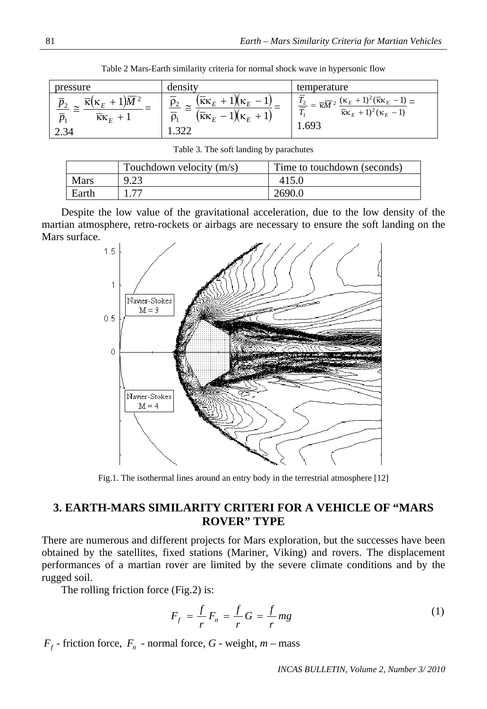| pressure                                                                                                         | densıtv                                                                                                                       | temperature                                                                                                                                                                                  |
|------------------------------------------------------------------------------------------------------------------|-------------------------------------------------------------------------------------------------------------------------------|----------------------------------------------------------------------------------------------------------------------------------------------------------------------------------------------|
| $\overline{\kappa}(\kappa_E+1)\overline{M}^2$<br>p <sub>2</sub><br>$KK_E + 1$<br>$\mathcal{D}_1$<br>$\angle .34$ | $(\overline{\kappa}\kappa_E + 1)$<br>$1$ K <sub>F</sub><br>$\rho_{2}$<br>$(\overline{\kappa}\kappa_{_E}$<br>$1(\kappa_E + 1)$ | $T_2 = \overline{\kappa M^2} \frac{(\kappa_E + 1)^2 (\overline{\kappa} \kappa_E - 1)}{(\overline{\kappa} \kappa_E - 1)}$<br>三<br>$\overline{\kappa}\kappa_{E}+1)^{2}(\kappa_{E}-1)$<br>1.693 |

Table 2 Mars-Earth similarity criteria for normal shock wave in hypersonic flow

|  |  |  | Table 3. The soft landing by parachutes |
|--|--|--|-----------------------------------------|
|--|--|--|-----------------------------------------|

|             | Touchdown velocity $(m/s)$ | Time to touchdown (seconds) |
|-------------|----------------------------|-----------------------------|
| <b>Mars</b> | 9.23                       | 415.0                       |
| Earth       |                            | 2690.0                      |

Despite the low value of the gravitational acceleration, due to the low density of the martian atmosphere, retro-rockets or airbags are necessary to ensure the soft landing on the Mars surface.



Fig.1. The isothermal lines around an entry body in the terrestrial atmosphere [12]

### **3. EARTH-MARS SIMILARITY CRITERI FOR A VEHICLE OF "MARS ROVER" TYPE**

There are numerous and different projects for Mars exploration, but the successes have been obtained by the satellites, fixed stations (Mariner, Viking) and rovers. The displacement performances of a martian rover are limited by the severe climate conditions and by the rugged soil.

The rolling friction force (Fig.2) is:

$$
F_f = \frac{f}{r} F_n = \frac{f}{r} G = \frac{f}{r} mg \tag{1}
$$

 $F_f$  - friction force,  $F_n$  - normal force,  $G$  - weight,  $m$  – mass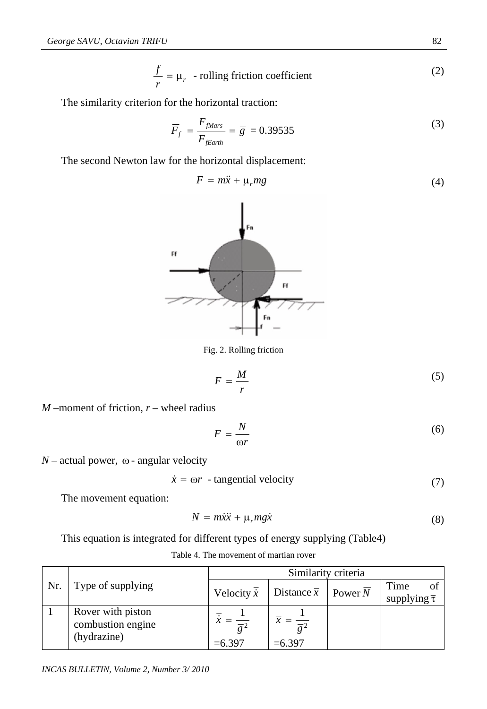$$
\frac{f}{r} = \mu_r
$$
 - rolling friction coefficient (2)

The similarity criterion for the horizontal traction:

$$
\overline{F}_f = \frac{F_{\text{Mars}}}{F_{\text{fEarth}}} = \overline{g} = 0.39535\tag{3}
$$

The second Newton law for the horizontal displacement:

$$
F = m\ddot{x} + \mu_r mg \tag{4}
$$



Fig. 2. Rolling friction

$$
F = \frac{M}{r} \tag{5}
$$

*M* –moment of friction, *r* – wheel radius

$$
F = \frac{N}{\omega r} \tag{6}
$$

 $N$  – actual power,  $\omega$  - angular velocity

$$
\dot{x} = \omega r \text{ - tangential velocity} \tag{7}
$$

The movement equation:

$$
N = m\ddot{x}\ddot{x} + \mu_r mg\dot{x} \tag{8}
$$

This equation is integrated for different types of energy supplying (Table4)

|     |                   | Similarity criteria                                     |                                  |                        |            |  |
|-----|-------------------|---------------------------------------------------------|----------------------------------|------------------------|------------|--|
| Nr. | Type of supplying |                                                         |                                  |                        | Time<br>οf |  |
|     |                   | Distance $\overline{x}$   Power N<br>Velocity $\dot{x}$ |                                  | supplying $\bar{\tau}$ |            |  |
|     | Rover with piston |                                                         |                                  |                        |            |  |
|     | combustion engine |                                                         | $\overline{\overline{\sigma^2}}$ |                        |            |  |
|     | (hydrazine)       | $= 6.397$                                               | $= 6.397$                        |                        |            |  |

Table 4. The movement of martian rover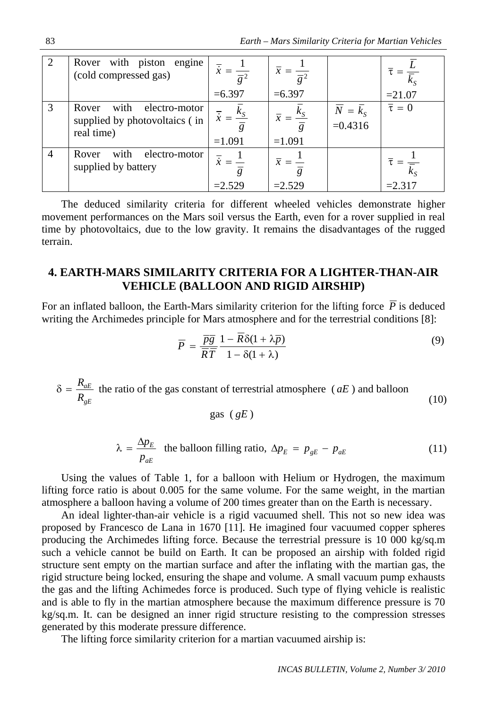|                | Rover with piston engine<br>(cold compressed gas)                       | $= 6.397$                | $\bar{x} = \frac{1}{\overline{e}^2}$<br>$= 6.397$          |                                     | $= 21.07$      |
|----------------|-------------------------------------------------------------------------|--------------------------|------------------------------------------------------------|-------------------------------------|----------------|
|                | Rover with electro-motor<br>supplied by photovoltaics (in<br>real time) | $\kappa_{S}$<br>$=1.091$ | $\frac{\kappa_{\rm S}}{2}$<br>$\overline{x} =$<br>$=1.091$ | $\overline{N} = k_{S}$<br>$=0.4316$ | $\bar{\tau}=0$ |
| $\overline{4}$ | with electro-motor<br>Rover<br>supplied by battery                      | $=2.529$                 | $\overline{x} =$<br>$=2.529$                               |                                     | $=2.317$       |

The deduced similarity criteria for different wheeled vehicles demonstrate higher movement performances on the Mars soil versus the Earth, even for a rover supplied in real time by photovoltaics, due to the low gravity. It remains the disadvantages of the rugged terrain.

### **4. EARTH-MARS SIMILARITY CRITERIA FOR A LIGHTER-THAN-AIR VEHICLE (BALLOON AND RIGID AIRSHIP)**

For an inflated balloon, the Earth-Mars similarity criterion for the lifting force *P* is deduced writing the Archimedes principle for Mars atmosphere and for the terrestrial conditions [8]:

$$
\overline{P} = \frac{\overline{pg}}{\overline{RT}} \frac{1 - R\delta(1 + \lambda \overline{p})}{1 - \delta(1 + \lambda)}
$$
(9)

*gE aE R*  $\delta = \frac{R_{aE}}{I}$  the ratio of the gas constant of terrestrial atmosphere (*aE*) and balloon (10)

$$
gas (gE)
$$

$$
\lambda = \frac{\Delta p_E}{p_{aE}} \quad \text{the balloon filling ratio, } \Delta p_E = p_{gE} - p_{aE} \tag{11}
$$

Using the values of Table 1, for a balloon with Helium or Hydrogen, the maximum lifting force ratio is about 0.005 for the same volume. For the same weight, in the martian atmosphere a balloon having a volume of 200 times greater than on the Earth is necessary.

An ideal lighter-than-air vehicle is a rigid vacuumed shell. This not so new idea was proposed by Francesco de Lana in 1670 [11]. He imagined four vacuumed copper spheres producing the Archimedes lifting force. Because the terrestrial pressure is 10 000 kg/sq.m such a vehicle cannot be build on Earth. It can be proposed an airship with folded rigid structure sent empty on the martian surface and after the inflating with the martian gas, the rigid structure being locked, ensuring the shape and volume. A small vacuum pump exhausts the gas and the lifting Achimedes force is produced. Such type of flying vehicle is realistic and is able to fly in the martian atmosphere because the maximum difference pressure is 70 kg/sq.m. It. can be designed an inner rigid structure resisting to the compression stresses generated by this moderate pressure difference.

The lifting force similarity criterion for a martian vacuumed airship is: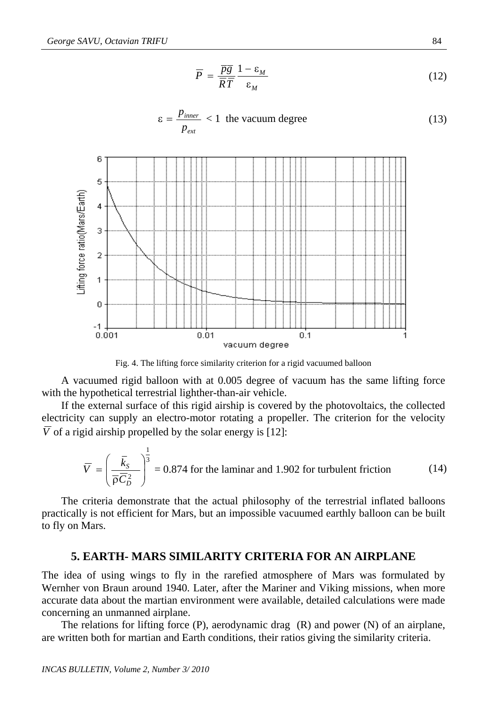$$
\overline{P} = \frac{\overline{pg}}{\overline{RT}} \frac{1 - \varepsilon_M}{\varepsilon_M} \tag{12}
$$

$$
\varepsilon = \frac{p_{\text{inner}}}{p_{\text{ext}}} < 1 \text{ the vacuum degree } (13)
$$



Fig. 4. The lifting force similarity criterion for a rigid vacuumed balloon

A vacuumed rigid balloon with at 0.005 degree of vacuum has the same lifting force with the hypothetical terrestrial lighther-than-air vehicle.

If the external surface of this rigid airship is covered by the photovoltaics, the collected electricity can supply an electro-motor rotating a propeller. The criterion for the velocity *V* of a rigid airship propelled by the solar energy is [12]:

$$
\overline{V} = \left(\frac{\overline{k}_{s}}{\overline{\rho}\overline{C}_{b}^{2}}\right)^{\frac{1}{3}} = 0.874
$$
 for the laminar and 1.902 for turbulent friction (14)

The criteria demonstrate that the actual philosophy of the terrestrial inflated balloons practically is not efficient for Mars, but an impossible vacuumed earthly balloon can be built to fly on Mars.

#### **5. EARTH- MARS SIMILARITY CRITERIA FOR AN AIRPLANE**

The idea of using wings to fly in the rarefied atmosphere of Mars was formulated by Wernher von Braun around 1940. Later, after the Mariner and Viking missions, when more accurate data about the martian environment were available, detailed calculations were made concerning an unmanned airplane.

The relations for lifting force (P), aerodynamic drag (R) and power (N) of an airplane, are written both for martian and Earth conditions, their ratios giving the similarity criteria.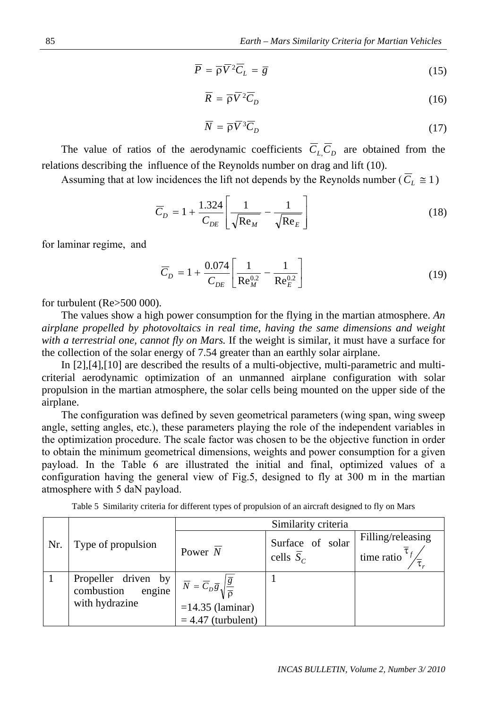$$
\overline{P} = \overline{\rho}\overline{V}^2\overline{C}_L = \overline{g}
$$
 (15)

$$
\overline{R} = \overline{\rho} \overline{V}^2 \overline{C}_D \tag{16}
$$

$$
\overline{N} = \overline{\rho} \overline{V}^3 \overline{C}_D \tag{17}
$$

The value of ratios of the aerodynamic coefficients  $C_{L,C_D}$  are obtained from the relations describing the influence of the Reynolds number on drag and lift (10).

Assuming that at low incidences the lift not depends by the Reynolds number ( $C_L \approx 1$ )

$$
\overline{C}_D = 1 + \frac{1.324}{C_{DE}} \left[ \frac{1}{\sqrt{\text{Re}_M}} - \frac{1}{\sqrt{\text{Re}_E}} \right]
$$
(18)

for laminar regime, and

$$
\overline{C}_D = 1 + \frac{0.074}{C_{DE}} \left[ \frac{1}{\text{Re}_M^{0.2}} - \frac{1}{\text{Re}_E^{0.2}} \right]
$$
(19)

for turbulent (Re>500 000).

The values show a high power consumption for the flying in the martian atmosphere. *An airplane propelled by photovoltaics in real time, having the same dimensions and weight with a terrestrial one, cannot fly on Mars.* If the weight is similar, it must have a surface for the collection of the solar energy of 7.54 greater than an earthly solar airplane.

In [2],[4],[10] are described the results of a multi-objective, multi-parametric and multicriterial aerodynamic optimization of an unmanned airplane configuration with solar propulsion in the martian atmosphere, the solar cells being mounted on the upper side of the airplane.

The configuration was defined by seven geometrical parameters (wing span, wing sweep angle, setting angles, etc.), these parameters playing the role of the independent variables in the optimization procedure. The scale factor was chosen to be the objective function in order to obtain the minimum geometrical dimensions, weights and power consumption for a given payload. In the Table 6 are illustrated the initial and final, optimized values of a configuration having the general view of Fig.5, designed to fly at 300 m in the martian atmosphere with 5 daN payload.

|     |                                                               | Similarity criteria                                                                                                                 |                                            |                                                   |  |  |
|-----|---------------------------------------------------------------|-------------------------------------------------------------------------------------------------------------------------------------|--------------------------------------------|---------------------------------------------------|--|--|
| Nr. | Type of propulsion                                            | Power $N$                                                                                                                           | Surface of solar<br>cells $\overline{S}_C$ | Filling/releasing<br>$\lim_{t \to \infty} \tau_f$ |  |  |
|     | Propeller driven by<br>combustion<br>engine<br>with hydrazine | $\overline{N} = \overline{C}_D \overline{g} \sqrt{\frac{\overline{g}}{\overline{g}}}$<br>$=14.35$ (laminar)<br>$= 4.47$ (turbulent) |                                            |                                                   |  |  |

Table 5 Similarity criteria for different types of propulsion of an aircraft designed to fly on Mars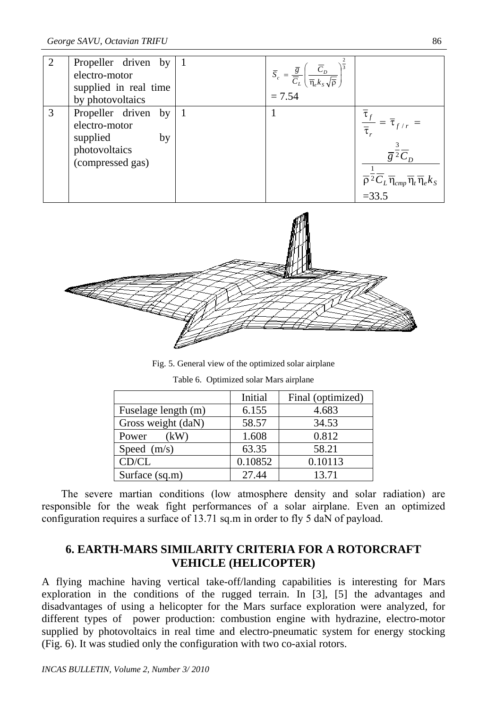| 2 | Propeller driven by $ 1$<br>electro-motor<br>supplied in real time<br>by photovoltaics           | $\bar{S}_c = \frac{\bar{g}}{\bar{C}_L} \left( \frac{\bar{C}_D}{\bar{\eta}_e k_S \sqrt{\bar{p}}} \right)^2$<br>= 7.54 |                                                                                                                                                          |
|---|--------------------------------------------------------------------------------------------------|----------------------------------------------------------------------------------------------------------------------|----------------------------------------------------------------------------------------------------------------------------------------------------------|
| 3 | Propeller driven by $ 1$<br>electro-motor<br>supplied<br>by<br>photovoltaics<br>(compressed gas) |                                                                                                                      | $\overline{g}^{\overline{2}}\overline{C}_D$<br>$\overline{\rho}^2 \overline{C}_L \overline{\eta}_{cmp} \overline{\eta}_t \overline{\eta}_e k_S$<br>=33.5 |



Fig. 5. General view of the optimized solar airplane

|                     | Initial | Final (optimized) |
|---------------------|---------|-------------------|
| Fuselage length (m) | 6.155   | 4.683             |
| Gross weight (daN)  | 58.57   | 34.53             |
| Power<br>(kW)       | 1.608   | 0.812             |
| Speed $(m/s)$       | 63.35   | 58.21             |
| CD/CL               | 0.10852 | 0.10113           |
| Surface $(sq.m)$    | 27.44   | 13.71             |

| Table 6. Optimized solar Mars airplane |  |  |
|----------------------------------------|--|--|
|                                        |  |  |

The severe martian conditions (low atmosphere density and solar radiation) are responsible for the weak fight performances of a solar airplane. Even an optimized configuration requires a surface of 13.71 sq.m in order to fly 5 daN of payload.

### **6. EARTH-MARS SIMILARITY CRITERIA FOR A ROTORCRAFT VEHICLE (HELICOPTER)**

A flying machine having vertical take-off/landing capabilities is interesting for Mars exploration in the conditions of the rugged terrain. In [3], [5] the advantages and disadvantages of using a helicopter for the Mars surface exploration were analyzed, for different types of power production: combustion engine with hydrazine, electro-motor supplied by photovoltaics in real time and electro-pneumatic system for energy stocking (Fig. 6). It was studied only the configuration with two co-axial rotors.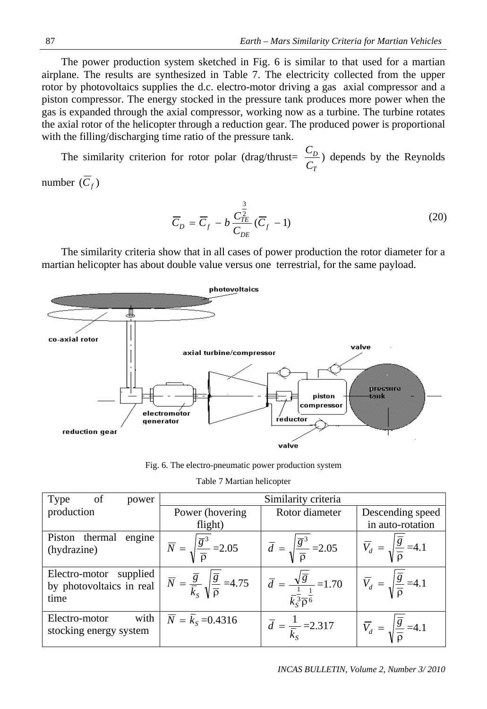The power production system sketched in Fig. 6 is similar to that used for a martian airplane. The results are synthesized in Table 7. The electricity collected from the upper rotor by photovoltaics supplies the d.c. electro-motor driving a gas axial compressor and a piston compressor. The energy stocked in the pressure tank produces more power when the gas is expanded through the axial compressor, working now as a turbine. The turbine rotates the axial rotor of the helicopter through a reduction gear. The produced power is proportional with the filling/discharging time ratio of the pressure tank.

The similarity criterion for rotor polar (drag/thrust= *T D C*  $\frac{C_D}{C}$ ) depends by the Reynolds

number  $(\overline{C}_f)$ 

$$
\overline{C}_D = \overline{C}_f - b \frac{C_{TE}^{\frac{3}{2}}}{C_{DE}} (\overline{C}_f - 1)
$$
\n(20)

The similarity criteria show that in all cases of power production the rotor diameter for a martian helicopter has about double value versus one terrestrial, for the same payload.



Fig. 6. The electro-pneumatic power production system

| Type<br>of<br>power                                           | Similarity criteria                                                                                  |                                                                                                                |                                                                     |
|---------------------------------------------------------------|------------------------------------------------------------------------------------------------------|----------------------------------------------------------------------------------------------------------------|---------------------------------------------------------------------|
| production                                                    | Power (hovering)                                                                                     | Rotor diameter                                                                                                 | Descending speed                                                    |
|                                                               | flight)                                                                                              |                                                                                                                | in auto-rotation                                                    |
| engine<br>Piston thermal<br>(hydrazine)                       | $\overline{N} = \sqrt{\frac{\overline{g}^3}{\overline{Q}}}$ = 2.05                                   | $\overline{d} = \sqrt{\frac{\overline{g}^3}{\overline{0}}} = 2.05$                                             | $\overline{V}_d = \sqrt{\frac{\overline{g}}{\overline{0}}} = 4.1$   |
| supplied<br>Electro-motor<br>by photovoltaics in real<br>time | $\overline{N} = \frac{\overline{g}}{\overline{k}_s} \sqrt{\frac{\overline{g}}{\overline{p}}} = 4.75$ | $\overline{d} = \frac{\sqrt{\overline{g}}}{\overline{k_3}^{\frac{1}{3}} \overline{\rho}^{\frac{1}{6}}} = 1.70$ | $\overline{V}_d = \sqrt{\frac{g}{\overline{Q}}}$ =4.1               |
| with<br>Electro-motor<br>stocking energy system               | $\overline{N} = \overline{k}_{s} = 0.4316$                                                           | $\overline{d} = \frac{1}{\overline{k}_c} = 2.317$                                                              | $ \overline{V}_d  = \sqrt{\frac{\overline{g}}{\overline{0}}} = 4.1$ |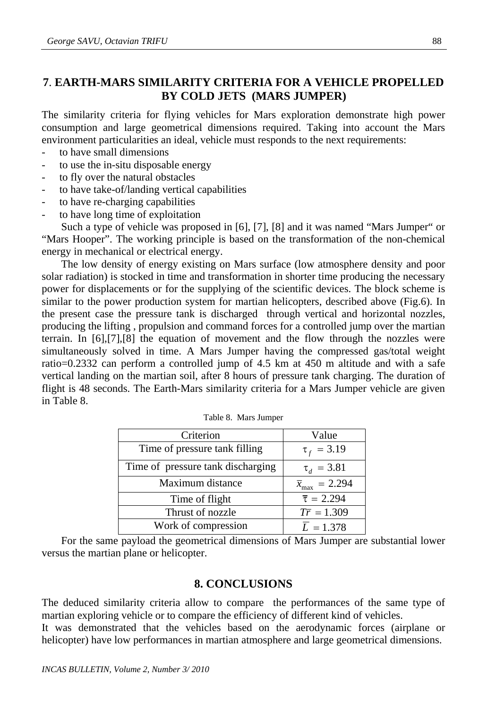## **7**. **EARTH-MARS SIMILARITY CRITERIA FOR A VEHICLE PROPELLED BY COLD JETS (MARS JUMPER)**

The similarity criteria for flying vehicles for Mars exploration demonstrate high power consumption and large geometrical dimensions required. Taking into account the Mars environment particularities an ideal, vehicle must responds to the next requirements:

- to have small dimensions
- to use the in-situ disposable energy
- to fly over the natural obstacles
- to have take-of/landing vertical capabilities
- to have re-charging capabilities
- to have long time of exploitation

Such a type of vehicle was proposed in [6], [7], [8] and it was named "Mars Jumper" or "Mars Hooper". The working principle is based on the transformation of the non-chemical energy in mechanical or electrical energy.

The low density of energy existing on Mars surface (low atmosphere density and poor solar radiation) is stocked in time and transformation in shorter time producing the necessary power for displacements or for the supplying of the scientific devices. The block scheme is similar to the power production system for martian helicopters, described above (Fig.6). In the present case the pressure tank is discharged through vertical and horizontal nozzles, producing the lifting , propulsion and command forces for a controlled jump over the martian terrain. In [6],[7],[8] the equation of movement and the flow through the nozzles were simultaneously solved in time. A Mars Jumper having the compressed gas/total weight ratio=0.2332 can perform a controlled jump of 4.5 km at 450 m altitude and with a safe vertical landing on the martian soil, after 8 hours of pressure tank charging. The duration of flight is 48 seconds. The Earth-Mars similarity criteria for a Mars Jumper vehicle are given in Table 8.

| Criterion                         | Value                          |
|-----------------------------------|--------------------------------|
| Time of pressure tank filling     | $\tau_f = 3.19$                |
| Time of pressure tank discharging | $\tau_d = 3.81$                |
| Maximum distance                  | $\bar{x}_{\text{max}} = 2.294$ |
| Time of flight                    | $\bar{\tau} = 2.294$           |
| Thrust of nozzle                  | $T\bar{r} = 1.309$             |
| Work of compression               | $\overline{L} = 1.378$         |

For the same payload the geometrical dimensions of Mars Jumper are substantial lower versus the martian plane or helicopter.

### **8. CONCLUSIONS**

The deduced similarity criteria allow to compare the performances of the same type of martian exploring vehicle or to compare the efficiency of different kind of vehicles.

It was demonstrated that the vehicles based on the aerodynamic forces (airplane or helicopter) have low performances in martian atmosphere and large geometrical dimensions.